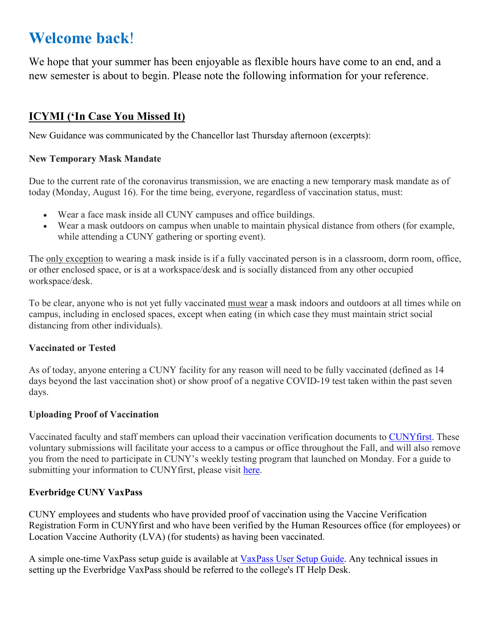# **Welcome back**!

We hope that your summer has been enjoyable as flexible hours have come to an end, and a new semester is about to begin. Please note the following information for your reference.

## **ICYMI ('In Case You Missed It)**

New Guidance was communicated by the Chancellor last Thursday afternoon (excerpts):

#### **New Temporary Mask Mandate**

Due to the current rate of the coronavirus transmission, we are enacting a new temporary mask mandate as of today (Monday, August 16). For the time being, everyone, regardless of vaccination status, must:

- Wear a face mask inside all CUNY campuses and office buildings.
- Wear a mask outdoors on campus when unable to maintain physical distance from others (for example, while attending a CUNY gathering or sporting event).

The only exception to wearing a mask inside is if a fully vaccinated person is in a classroom, dorm room, office, or other enclosed space, or is at a workspace/desk and is socially distanced from any other occupied workspace/desk.

To be clear, anyone who is not yet fully vaccinated must wear a mask indoors and outdoors at all times while on campus, including in enclosed spaces, except when eating (in which case they must maintain strict social distancing from other individuals).

#### **Vaccinated or Tested**

As of today, anyone entering a CUNY facility for any reason will need to be fully vaccinated (defined as 14 days beyond the last vaccination shot) or show proof of a negative COVID-19 test taken within the past seven days.

#### **Uploading Proof of Vaccination**

Vaccinated faculty and staff members can upload their vaccination verification documents to CUNYfirst. These voluntary submissions will facilitate your access to a campus or office throughout the Fall, and will also remove you from the need to participate in CUNY's weekly testing program that launched on Monday. For a guide to submitting your information to CUNYfirst, please visit here.

#### **Everbridge CUNY VaxPass**

CUNY employees and students who have provided proof of vaccination using the Vaccine Verification Registration Form in CUNYfirst and who have been verified by the Human Resources office (for employees) or Location Vaccine Authority (LVA) (for students) as having been vaccinated.

A simple one-time VaxPass setup guide is available at VaxPass User Setup Guide. Any technical issues in setting up the Everbridge VaxPass should be referred to the college's IT Help Desk.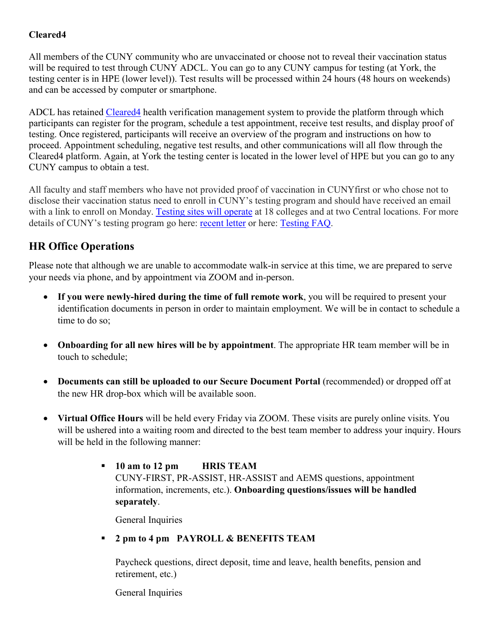#### **Cleared4**

All members of the CUNY community who are unvaccinated or choose not to reveal their vaccination status will be required to test through CUNY ADCL. You can go to any CUNY campus for testing (at York, the testing center is in HPE (lower level)). Test results will be processed within 24 hours (48 hours on weekends) and can be accessed by computer or smartphone.

ADCL has retained Cleared4 health verification management system to provide the platform through which participants can register for the program, schedule a test appointment, receive test results, and display proof of testing. Once registered, participants will receive an overview of the program and instructions on how to proceed. Appointment scheduling, negative test results, and other communications will all flow through the Cleared4 platform. Again, at York the testing center is located in the lower level of HPE but you can go to any CUNY campus to obtain a test.

All faculty and staff members who have not provided proof of vaccination in CUNYfirst or who chose not to disclose their vaccination status need to enroll in CUNY's testing program and should have received an email with a link to enroll on Monday. Testing sites will operate at 18 colleges and at two Central locations. For more details of CUNY's testing program go here: recent letter or here: Testing FAQ.

### **HR Office Operations**

Please note that although we are unable to accommodate walk-in service at this time, we are prepared to serve your needs via phone, and by appointment via ZOOM and in-person.

- **If you were newly-hired during the time of full remote work**, you will be required to present your identification documents in person in order to maintain employment. We will be in contact to schedule a time to do so;
- **Onboarding for all new hires will be by appointment**. The appropriate HR team member will be in touch to schedule;
- **Documents can still be uploaded to our Secure Document Portal** (recommended) or dropped off at the new HR drop-box which will be available soon.
- **Virtual Office Hours** will be held every Friday via ZOOM. These visits are purely online visits. You will be ushered into a waiting room and directed to the best team member to address your inquiry. Hours will be held in the following manner:
	- **10 am to 12 pm HRIS TEAM** CUNY-FIRST, PR-ASSIST, HR-ASSIST and AEMS questions, appointment information, increments, etc.). **Onboarding questions/issues will be handled separately**.

General Inquiries

**2 pm to 4 pm PAYROLL & BENEFITS TEAM**

Paycheck questions, direct deposit, time and leave, health benefits, pension and retirement, etc.)

General Inquiries